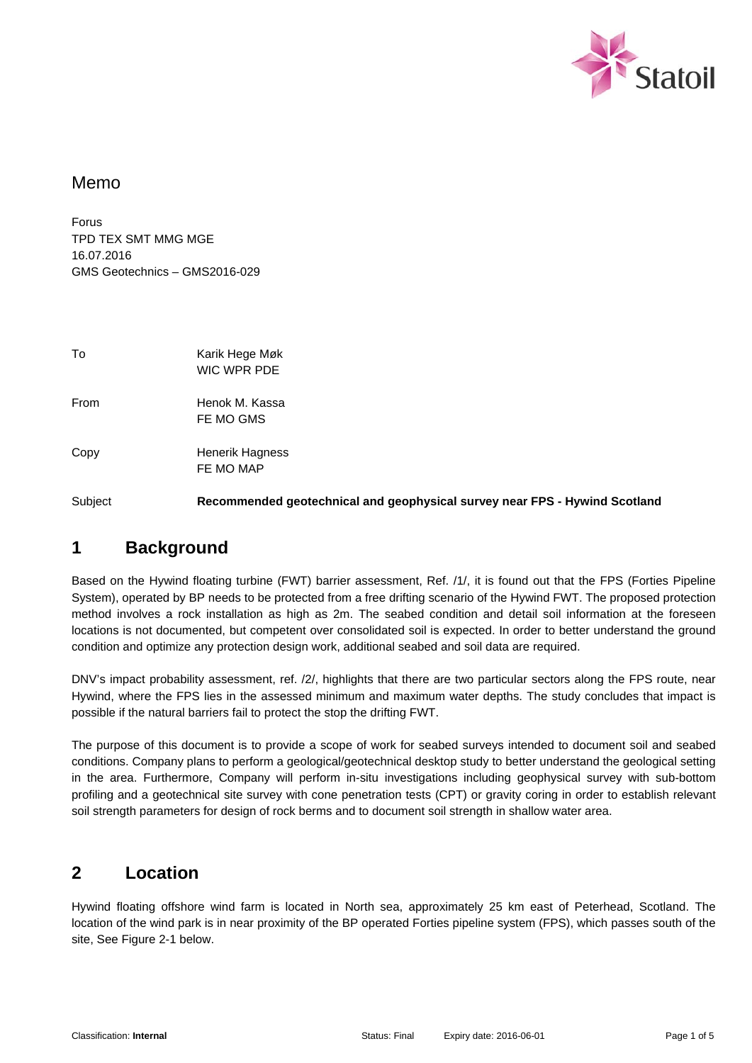

### Memo

Forus TPD TEX SMT MMG MGE 16.07.2016 GMS Geotechnics – GMS2016-029

| To   | Karik Hege Møk<br>WIC WPR PDE |
|------|-------------------------------|
| From | Henok M. Kassa<br>FE MO GMS   |
| Copy | Henerik Hagness<br>FE MO MAP  |

Subject **Recommended geotechnical and geophysical survey near FPS - Hywind Scotland**

## **1 Background**

Based on the Hywind floating turbine (FWT) barrier assessment, Ref. /1/, it is found out that the FPS (Forties Pipeline System), operated by BP needs to be protected from a free drifting scenario of the Hywind FWT. The proposed protection method involves a rock installation as high as 2m. The seabed condition and detail soil information at the foreseen locations is not documented, but competent over consolidated soil is expected. In order to better understand the ground condition and optimize any protection design work, additional seabed and soil data are required.

DNV's impact probability assessment, ref. /2/, highlights that there are two particular sectors along the FPS route, near Hywind, where the FPS lies in the assessed minimum and maximum water depths. The study concludes that impact is possible if the natural barriers fail to protect the stop the drifting FWT.

The purpose of this document is to provide a scope of work for seabed surveys intended to document soil and seabed conditions. Company plans to perform a geological/geotechnical desktop study to better understand the geological setting in the area. Furthermore, Company will perform in-situ investigations including geophysical survey with sub-bottom profiling and a geotechnical site survey with cone penetration tests (CPT) or gravity coring in order to establish relevant soil strength parameters for design of rock berms and to document soil strength in shallow water area.

### **2 Location**

Hywind floating offshore wind farm is located in North sea, approximately 25 km east of Peterhead, Scotland. The location of the wind park is in near proximity of the BP operated Forties pipeline system (FPS), which passes south of the site, See Figure 2-1 below.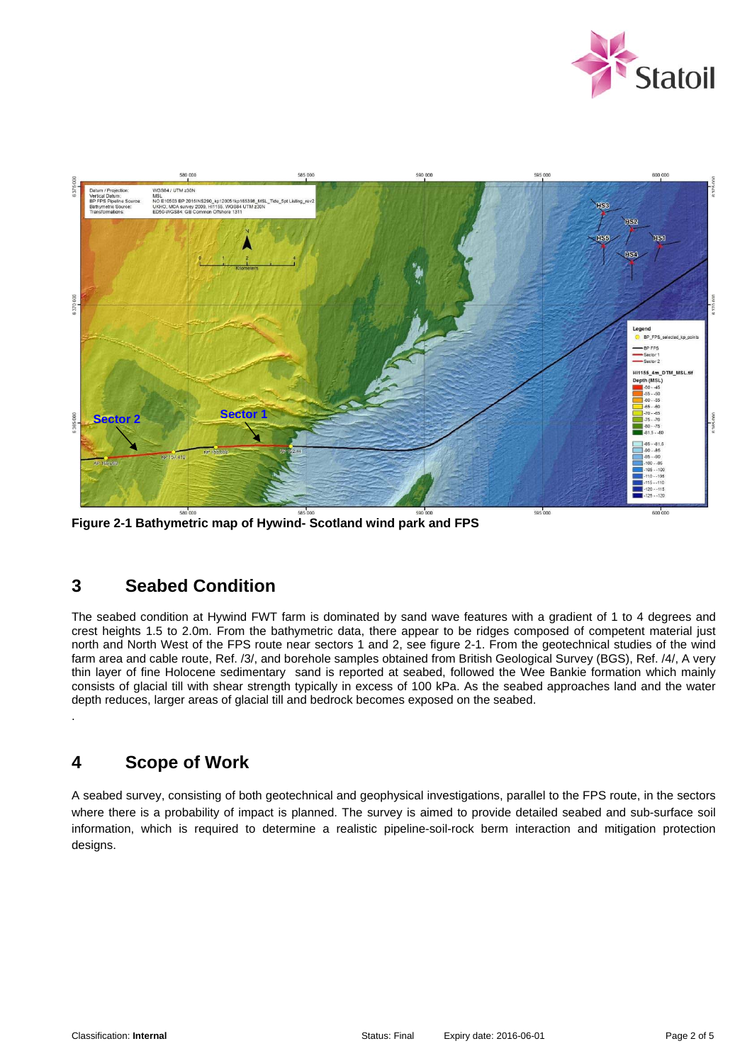



**Figure 2-1 Bathymetric map of Hywind- Scotland wind park and FPS** 

# **3 Seabed Condition**

The seabed condition at Hywind FWT farm is dominated by sand wave features with a gradient of 1 to 4 degrees and crest heights 1.5 to 2.0m. From the bathymetric data, there appear to be ridges composed of competent material just north and North West of the FPS route near sectors 1 and 2, see figure 2-1. From the geotechnical studies of the wind farm area and cable route, Ref. /3/, and borehole samples obtained from British Geological Survey (BGS), Ref. /4/, A very thin layer of fine Holocene sedimentary sand is reported at seabed, followed the Wee Bankie formation which mainly consists of glacial till with shear strength typically in excess of 100 kPa. As the seabed approaches land and the water depth reduces, larger areas of glacial till and bedrock becomes exposed on the seabed.

## **4 Scope of Work**

.

A seabed survey, consisting of both geotechnical and geophysical investigations, parallel to the FPS route, in the sectors where there is a probability of impact is planned. The survey is aimed to provide detailed seabed and sub-surface soil information, which is required to determine a realistic pipeline-soil-rock berm interaction and mitigation protection designs.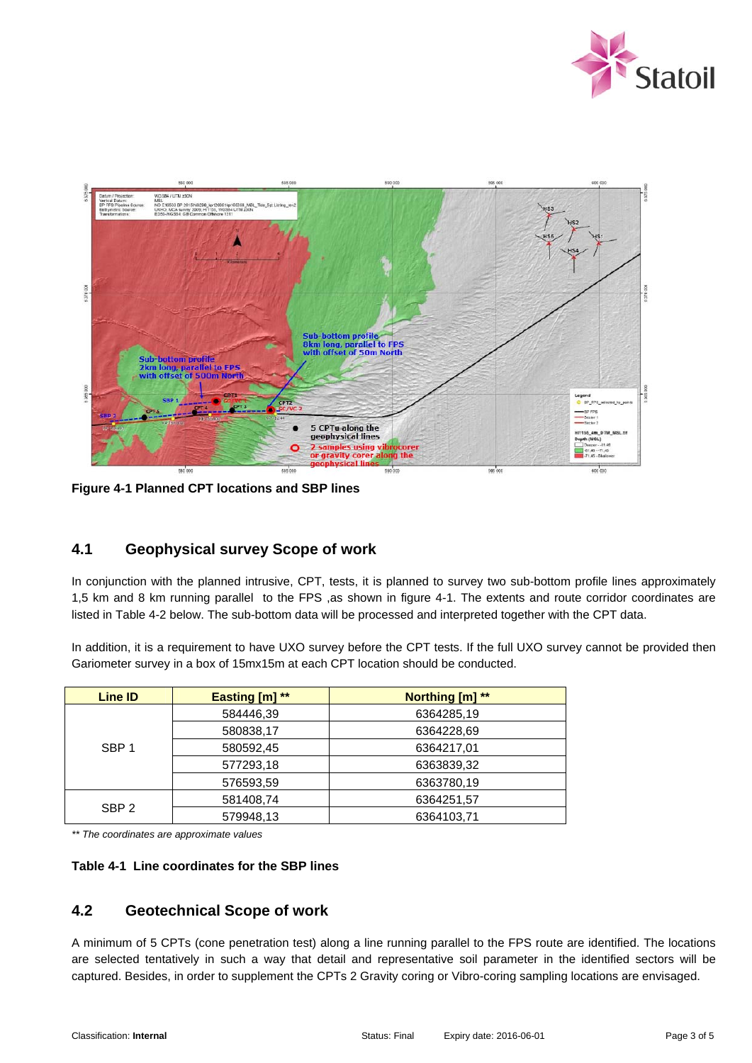



**Figure 4-1 Planned CPT locations and SBP lines** 

### **4.1 Geophysical survey Scope of work**

In conjunction with the planned intrusive, CPT, tests, it is planned to survey two sub-bottom profile lines approximately 1,5 km and 8 km running parallel to the FPS ,as shown in figure 4-1. The extents and route corridor coordinates are listed in Table 4-2 below. The sub-bottom data will be processed and interpreted together with the CPT data.

In addition, it is a requirement to have UXO survey before the CPT tests. If the full UXO survey cannot be provided then Gariometer survey in a box of 15mx15m at each CPT location should be conducted.

| <b>Line ID</b>   | <b>Easting [m] **</b> | Northing [m] ** |
|------------------|-----------------------|-----------------|
| SBP <sub>1</sub> | 584446,39             | 6364285,19      |
|                  | 580838,17             | 6364228.69      |
|                  | 580592,45             | 6364217,01      |
|                  | 577293,18             | 6363839,32      |
|                  | 576593,59             | 6363780,19      |
| SBP <sub>2</sub> | 581408,74             | 6364251,57      |
|                  | 579948,13             | 6364103.71      |

*\*\* The coordinates are approximate values* 

#### **Table 4-1 Line coordinates for the SBP lines**

### **4.2 Geotechnical Scope of work**

A minimum of 5 CPTs (cone penetration test) along a line running parallel to the FPS route are identified. The locations are selected tentatively in such a way that detail and representative soil parameter in the identified sectors will be captured. Besides, in order to supplement the CPTs 2 Gravity coring or Vibro-coring sampling locations are envisaged.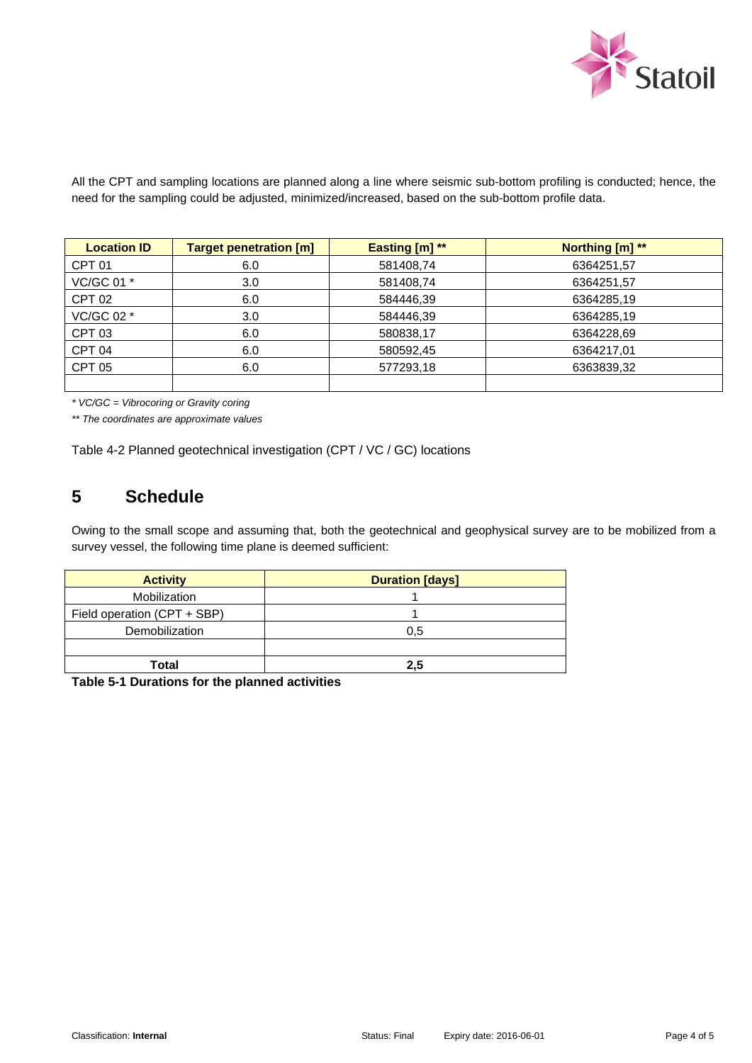

All the CPT and sampling locations are planned along a line where seismic sub-bottom profiling is conducted; hence, the need for the sampling could be adjusted, minimized/increased, based on the sub-bottom profile data.

| <b>Location ID</b> | <b>Target penetration [m]</b> | Easting $[m]$ ** | Northing [m] ** |
|--------------------|-------------------------------|------------------|-----------------|
| CPT <sub>01</sub>  | 6.0                           | 581408,74        | 6364251,57      |
| VC/GC 01 *         | 3.0                           | 581408.74        | 6364251,57      |
| CPT <sub>02</sub>  | 6.0                           | 584446.39        | 6364285,19      |
| VC/GC 02 *         | 3.0 <sub>2</sub>              | 584446.39        | 6364285.19      |
| CPT <sub>03</sub>  | 6.0                           | 580838,17        | 6364228.69      |
| CPT <sub>04</sub>  | 6.0                           | 580592,45        | 6364217.01      |
| <b>CPT 05</b>      | 6.0                           | 577293,18        | 6363839,32      |
|                    |                               |                  |                 |

*\* VC/GC = Vibrocoring or Gravity coring* 

*\*\* The coordinates are approximate values* 

Table 4-2 Planned geotechnical investigation (CPT / VC / GC) locations

## **5 Schedule**

Owing to the small scope and assuming that, both the geotechnical and geophysical survey are to be mobilized from a survey vessel, the following time plane is deemed sufficient:

| <b>Activity</b>             | <b>Duration [days]</b> |
|-----------------------------|------------------------|
| Mobilization                |                        |
| Field operation (CPT + SBP) |                        |
| Demobilization              | 0.5                    |
|                             |                        |
| Total                       | $2.5\,$                |

**Table 5-1 Durations for the planned activities**